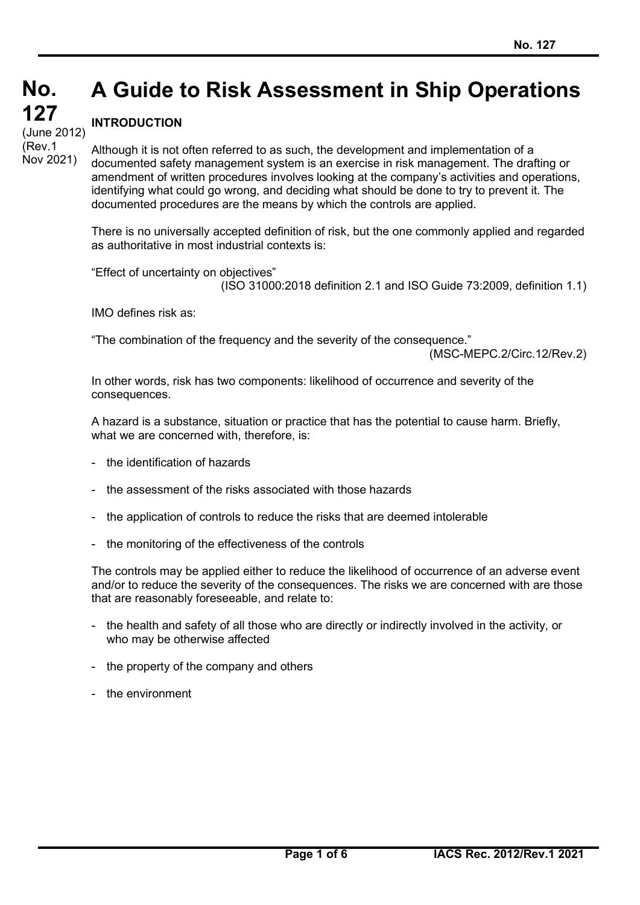# **No. No. A Guide to Risk Assessment in Ship Operations**

# **INTRODUCTION**

**127 127** (cont) (Rev.1 (June 2012) Nov 2021)

Although it is not often referred to as such, the development and implementation of a documented safety management system is an exercise in risk management. The drafting or amendment of written procedures involves looking at the company's activities and operations, identifying what could go wrong, and deciding what should be done to try to prevent it. The documented procedures are the means by which the controls are applied.

There is no universally accepted definition of risk, but the one commonly applied and regarded as authoritative in most industrial contexts is:

"Effect of uncertainty on objectives" (ISO 31000:2018 definition 2.1 and ISO Guide 73:2009, definition 1.1)

IMO defines risk as:

"The combination of the frequency and the severity of the consequence."

(MSC-MEPC.2/Circ.12/Rev.2)

In other words, risk has two components: likelihood of occurrence and severity of the consequences.

A hazard is a substance, situation or practice that has the potential to cause harm. Briefly, what we are concerned with, therefore, is:

- the identification of hazards
- the assessment of the risks associated with those hazards
- the application of controls to reduce the risks that are deemed intolerable
- the monitoring of the effectiveness of the controls

The controls may be applied either to reduce the likelihood of occurrence of an adverse event and/or to reduce the severity of the consequences. The risks we are concerned with are those that are reasonably foreseeable, and relate to:

- the health and safety of all those who are directly or indirectly involved in the activity, or who may be otherwise affected
- the property of the company and others
- the environment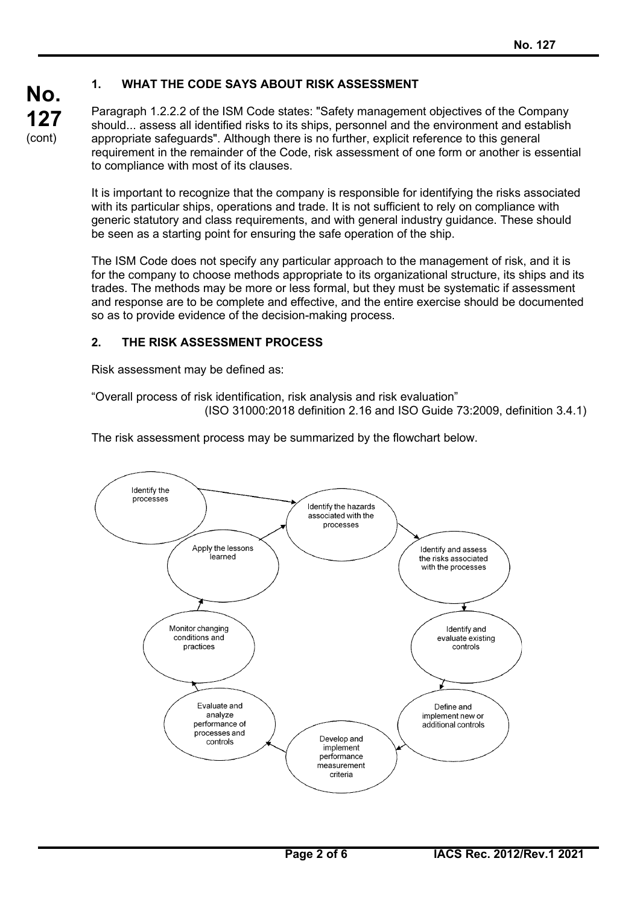# **1. WHAT THE CODE SAYS ABOUT RISK ASSESSMENT**

Paragraph 1.2.2.2 of the ISM Code states: "Safety management objectives of the Company should... assess all identified risks to its ships, personnel and the environment and establish appropriate safeguards". Although there is no further, explicit reference to this general requirement in the remainder of the Code, risk assessment of one form or another is essential to compliance with most of its clauses.

It is important to recognize that the company is responsible for identifying the risks associated with its particular ships, operations and trade. It is not sufficient to rely on compliance with generic statutory and class requirements, and with general industry guidance. These should be seen as a starting point for ensuring the safe operation of the ship.

The ISM Code does not specify any particular approach to the management of risk, and it is for the company to choose methods appropriate to its organizational structure, its ships and its trades. The methods may be more or less formal, but they must be systematic if assessment and response are to be complete and effective, and the entire exercise should be documented so as to provide evidence of the decision-making process.

## **2. THE RISK ASSESSMENT PROCESS**

Risk assessment may be defined as:

**No.**

**127** (cont)

> "Overall process of risk identification, risk analysis and risk evaluation" (ISO 31000:2018 definition 2.16 and ISO Guide 73:2009, definition 3.4.1)

The risk assessment process may be summarized by the flowchart below.

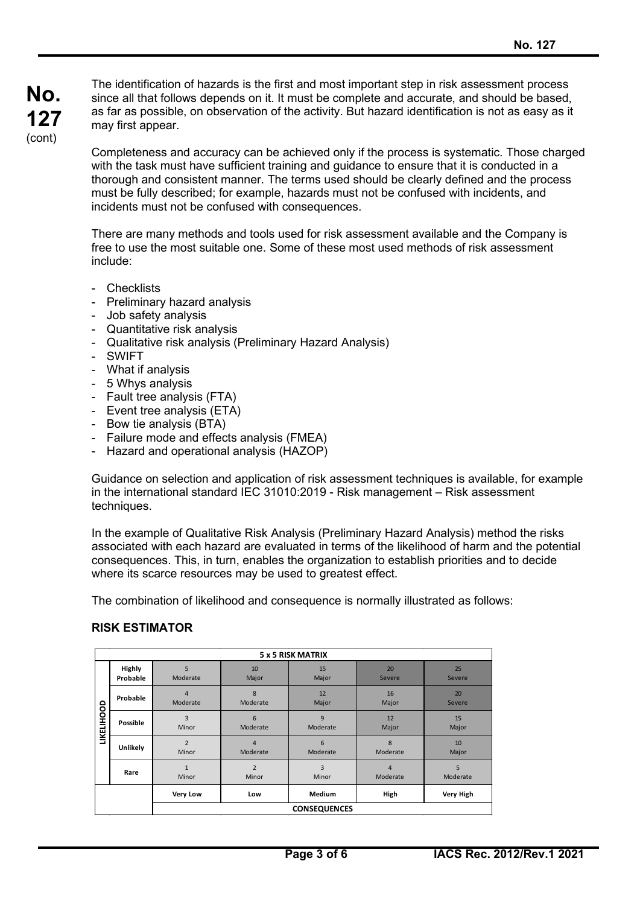The identification of hazards is the first and most important step in risk assessment process since all that follows depends on it. It must be complete and accurate, and should be based, as far as possible, on observation of the activity. But hazard identification is not as easy as it may first appear.

Completeness and accuracy can be achieved only if the process is systematic. Those charged with the task must have sufficient training and guidance to ensure that it is conducted in a thorough and consistent manner. The terms used should be clearly defined and the process must be fully described; for example, hazards must not be confused with incidents, and incidents must not be confused with consequences.

There are many methods and tools used for risk assessment available and the Company is free to use the most suitable one. Some of these most used methods of risk assessment include:

- Checklists
- Preliminary hazard analysis
- Job safety analysis
- Quantitative risk analysis
- Qualitative risk analysis (Preliminary Hazard Analysis)
- SWIFT
- What if analysis
- 5 Whys analysis
- Fault tree analysis (FTA)
- Event tree analysis (ETA)
- Bow tie analysis (BTA)
- Failure mode and effects analysis (FMEA)
- Hazard and operational analysis (HAZOP)

Guidance on selection and application of risk assessment techniques is available, for example in the international standard IEC 31010:2019 - Risk management – Risk assessment techniques.

In the example of Qualitative Risk Analysis (Preliminary Hazard Analysis) method the risks associated with each hazard are evaluated in terms of the likelihood of harm and the potential consequences. This, in turn, enables the organization to establish priorities and to decide where its scarce resources may be used to greatest effect.

The combination of likelihood and consequence is normally illustrated as follows:

### **RISK ESTIMATOR**

| <b>5 x 5 RISK MATRIX</b> |                    |                            |                            |               |                            |               |  |
|--------------------------|--------------------|----------------------------|----------------------------|---------------|----------------------------|---------------|--|
| <b>LIKELIHOOD</b>        | Highly<br>Probable | 5<br>Moderate              | 10<br>Major                | 15<br>Major   | 20<br>Severe               | 25<br>Severe  |  |
|                          | Probable           | $\overline{4}$<br>Moderate | 8<br>Moderate              | 12<br>Major   | 16<br>Major                | 20<br>Severe  |  |
|                          | Possible           | 3<br>Minor                 | 6<br>Moderate              | 9<br>Moderate | 12<br>Major                | 15<br>Major   |  |
|                          | Unlikely           | $\overline{2}$<br>Minor    | $\overline{4}$<br>Moderate | 6<br>Moderate | 8<br>Moderate              | 10<br>Major   |  |
|                          | Rare               | $\mathbf{1}$<br>Minor      | $\overline{2}$<br>Minor    | 3<br>Minor    | $\overline{4}$<br>Moderate | 5<br>Moderate |  |
|                          |                    | Very Low                   | Low                        | <b>Medium</b> | High                       | Very High     |  |
|                          |                    | <b>CONSEQUENCES</b>        |                            |               |                            |               |  |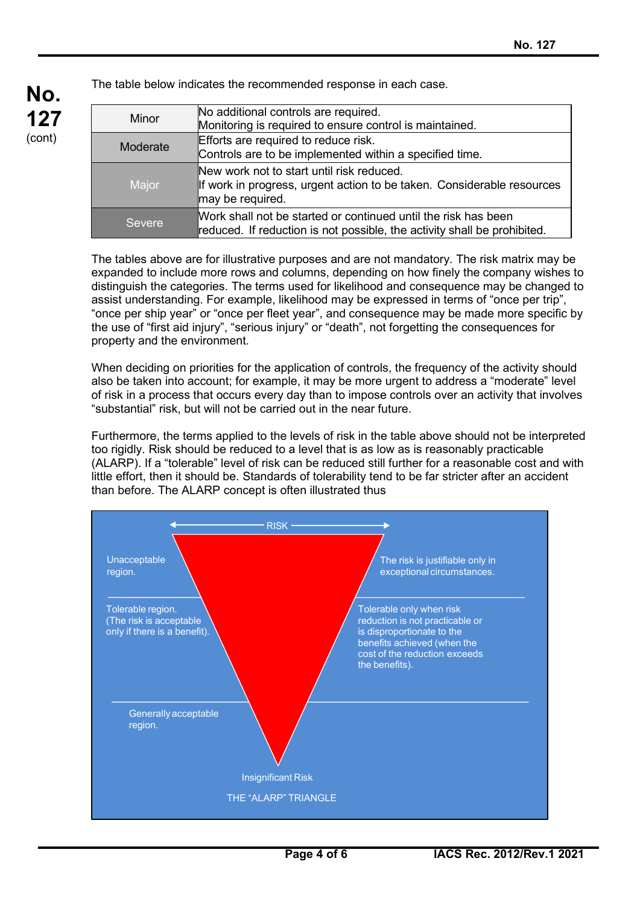| Minor         | No additional controls are required.                                     |
|---------------|--------------------------------------------------------------------------|
|               | Monitoring is required to ensure control is maintained.                  |
| Moderate      | Efforts are required to reduce risk.                                     |
|               | Controls are to be implemented within a specified time.                  |
|               | New work not to start until risk reduced.                                |
| Major         | If work in progress, urgent action to be taken. Considerable resources   |
|               | may be required.                                                         |
|               | Work shall not be started or continued until the risk has been           |
| <b>Severe</b> | reduced. If reduction is not possible, the activity shall be prohibited. |

The table below indicates the recommended response in each case.

**No.**

**127** (cont)

> The tables above are for illustrative purposes and are not mandatory. The risk matrix may be expanded to include more rows and columns, depending on how finely the company wishes to distinguish the categories. The terms used for likelihood and consequence may be changed to assist understanding. For example, likelihood may be expressed in terms of "once per trip", "once per ship year" or "once per fleet year", and consequence may be made more specific by the use of "first aid injury", "serious injury" or "death", not forgetting the consequences for property and the environment.

> When deciding on priorities for the application of controls, the frequency of the activity should also be taken into account; for example, it may be more urgent to address a "moderate" level of risk in a process that occurs every day than to impose controls over an activity that involves "substantial" risk, but will not be carried out in the near future.

> Furthermore, the terms applied to the levels of risk in the table above should not be interpreted too rigidly. Risk should be reduced to a level that is as low as is reasonably practicable (ALARP). If a "tolerable" level of risk can be reduced still further for a reasonable cost and with little effort, then it should be. Standards of tolerability tend to be far stricter after an accident than before. The ALARP concept is often illustrated thus

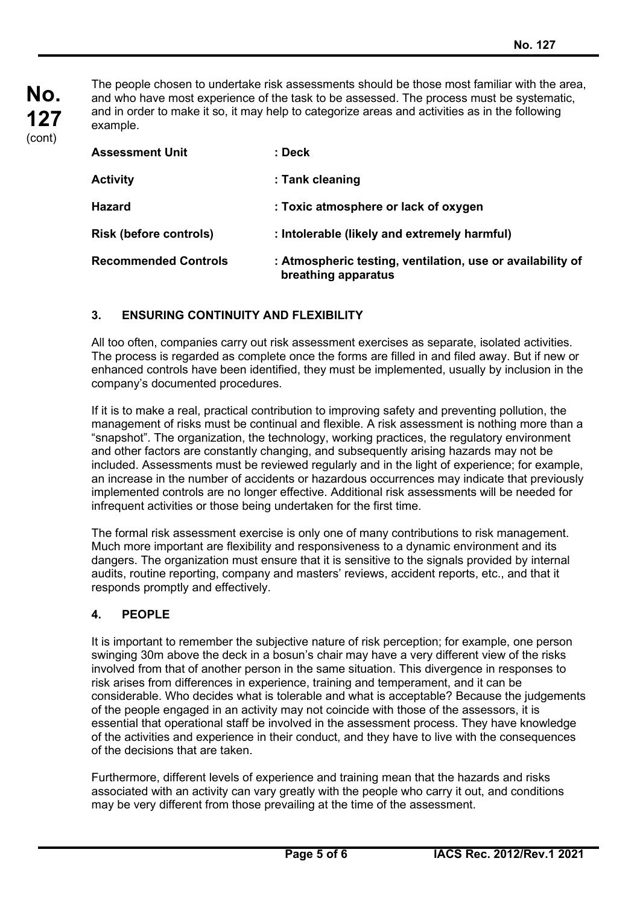**No. 127** (cont)

The people chosen to undertake risk assessments should be those most familiar with the area, and who have most experience of the task to be assessed. The process must be systematic, and in order to make it so, it may help to categorize areas and activities as in the following example.

| <b>Assessment Unit</b>        | : Deck                                                                            |  |  |
|-------------------------------|-----------------------------------------------------------------------------------|--|--|
| <b>Activity</b>               | : Tank cleaning                                                                   |  |  |
| <b>Hazard</b>                 | : Toxic atmosphere or lack of oxygen                                              |  |  |
| <b>Risk (before controls)</b> | : Intolerable (likely and extremely harmful)                                      |  |  |
| <b>Recommended Controls</b>   | : Atmospheric testing, ventilation, use or availability of<br>breathing apparatus |  |  |

## **3. ENSURING CONTINUITY AND FLEXIBILITY**

All too often, companies carry out risk assessment exercises as separate, isolated activities. The process is regarded as complete once the forms are filled in and filed away. But if new or enhanced controls have been identified, they must be implemented, usually by inclusion in the company's documented procedures.

If it is to make a real, practical contribution to improving safety and preventing pollution, the management of risks must be continual and flexible. A risk assessment is nothing more than a "snapshot". The organization, the technology, working practices, the regulatory environment and other factors are constantly changing, and subsequently arising hazards may not be included. Assessments must be reviewed regularly and in the light of experience; for example, an increase in the number of accidents or hazardous occurrences may indicate that previously implemented controls are no longer effective. Additional risk assessments will be needed for infrequent activities or those being undertaken for the first time.

The formal risk assessment exercise is only one of many contributions to risk management. Much more important are flexibility and responsiveness to a dynamic environment and its dangers. The organization must ensure that it is sensitive to the signals provided by internal audits, routine reporting, company and masters' reviews, accident reports, etc., and that it responds promptly and effectively.

### **4. PEOPLE**

It is important to remember the subjective nature of risk perception; for example, one person swinging 30m above the deck in a bosun's chair may have a very different view of the risks involved from that of another person in the same situation. This divergence in responses to risk arises from differences in experience, training and temperament, and it can be considerable. Who decides what is tolerable and what is acceptable? Because the judgements of the people engaged in an activity may not coincide with those of the assessors, it is essential that operational staff be involved in the assessment process. They have knowledge of the activities and experience in their conduct, and they have to live with the consequences of the decisions that are taken.

Furthermore, different levels of experience and training mean that the hazards and risks associated with an activity can vary greatly with the people who carry it out, and conditions may be very different from those prevailing at the time of the assessment.